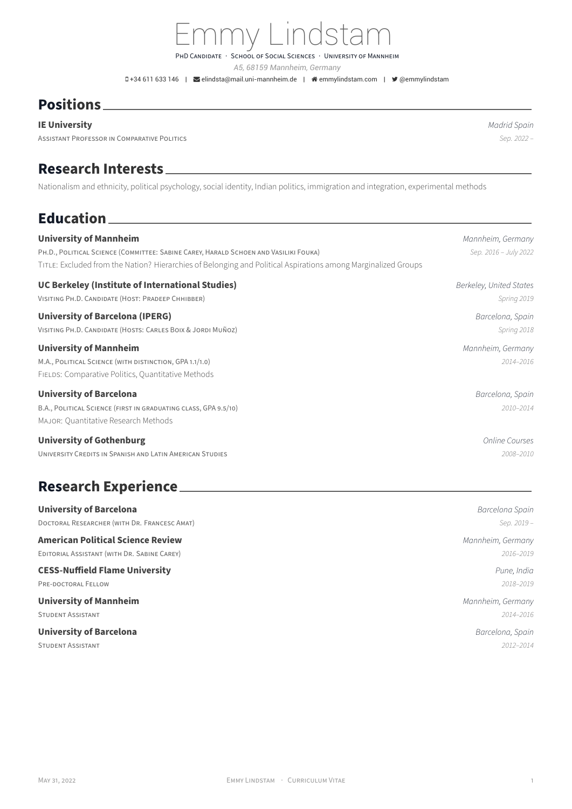## *A5, 68159 Mannheim, Germany*

PHD CANDIDATE · SCHOOL OF SOCIAL SCIENCES · UNIVERSITY OF MANNHEIM

Emmy Lindstam

0+34 611 633 146 | **≤**[elindsta@mail.uni-mannheim.de](mailto:elindsta@mail.uni-mannheim.de) | « [emmylindstam.com](http://emmylindstam.com) | • [@emmylindstam](https://twitter.com/@emmylindstam)

#### **Positions**

#### **IE University** *Madrid Spain*

ASSiSTANT PROFESSOR iN COMPARATiVE POLiTiCS *Sep. 2022 –*

#### **Research Interests**

Nationalism and ethnicity, political psychology, social identity, Indian politics, immigration and integration, experimental methods

<u> 1989 - Johann Barbara, martxa alemaniar a</u>

## **Education**

| <b>University of Mannheim</b>                                                                                 | Mannheim, Germany       |
|---------------------------------------------------------------------------------------------------------------|-------------------------|
| PH.D., POLITICAL SCIENCE (COMMITTEE: SABINE CAREY, HARALD SCHOEN AND VASILIKI FOUKA)                          | Sep. 2016 - July 2022   |
| TITLE: Excluded from the Nation? Hierarchies of Belonging and Political Aspirations among Marginalized Groups |                         |
| UC Berkeley (Institute of International Studies)                                                              | Berkeley, United States |
| VISITING PH.D. CANDIDATE (HOST: PRADEEP CHHIBBER)                                                             | Spring 2019             |
| University of Barcelona (IPERG)                                                                               | Barcelona, Spain        |
| VISITING PH.D. CANDIDATE (HOSTS: CARLES BOIX & JORDI MUÑOZ)                                                   | Spring 2018             |
| <b>University of Mannheim</b>                                                                                 | Mannheim, Germany       |
| M.A., POLITICAL SCIENCE (WITH DISTINCTION, GPA 1.1/1.0)                                                       | 2014-2016               |
| FIELDS: Comparative Politics, Quantitative Methods                                                            |                         |
| <b>University of Barcelona</b>                                                                                | Barcelona, Spain        |
| B.A., POLITICAL SCIENCE (FIRST IN GRADUATING CLASS, GPA 9.5/10)                                               | 2010-2014               |
| MAJOR: Quantitative Research Methods                                                                          |                         |
| <b>University of Gothenburg</b>                                                                               | <b>Online Courses</b>   |
| UNIVERSITY CREDITS IN SPANISH AND LATIN AMERICAN STUDIES                                                      | 2008-2010               |

### **Research Experience**

| <b>University of Barcelona</b>               | Barcelona Spain   |
|----------------------------------------------|-------------------|
| DOCTORAL RESEARCHER (WITH DR. FRANCESC AMAT) | Sep. 2019 -       |
| <b>American Political Science Review</b>     | Mannheim, Germany |
| EDITORIAL ASSISTANT (WITH DR. SABINE CAREY)  | 2016-2019         |
| <b>CESS-Nuffield Flame University</b>        | Pune, India       |
| PRE-DOCTORAL FELLOW                          | 2018-2019         |
| <b>University of Mannheim</b>                | Mannheim, Germany |
| <b>STUDENT ASSISTANT</b>                     | 2014-2016         |
| <b>University of Barcelona</b>               | Barcelona, Spain  |
| <b>STUDENT ASSISTANT</b>                     | 2012-2014         |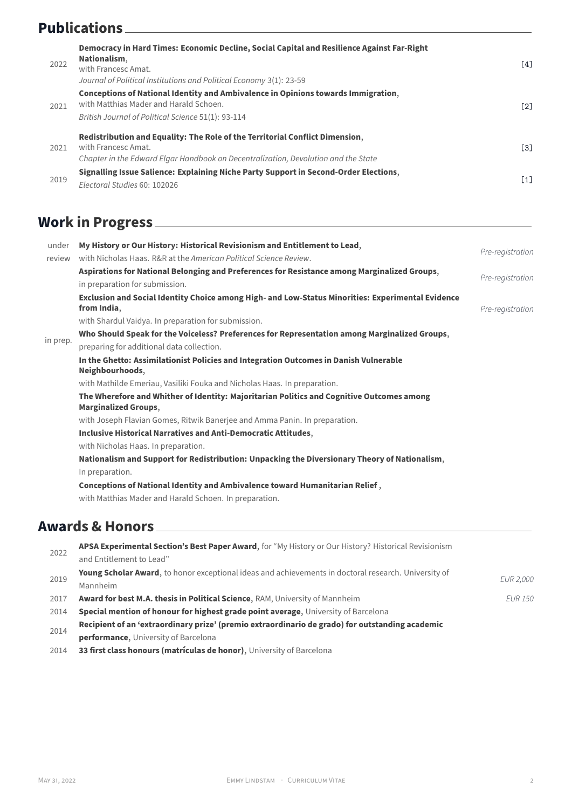## **Publications**

| 2022 | Democracy in Hard Times: Economic Decline, Social Capital and Resilience Against Far-Right<br>Nationalism.<br>with Francesc Amat.<br>Journal of Political Institutions and Political Economy 3(1): 23-59 | <b>641</b>        |
|------|----------------------------------------------------------------------------------------------------------------------------------------------------------------------------------------------------------|-------------------|
| 2021 | Conceptions of National Identity and Ambivalence in Opinions towards Immigration,<br>with Matthias Mader and Harald Schoen.<br>British Journal of Political Science 51(1): 93-114                        | $\lceil 2 \rceil$ |
| 2021 | Redistribution and Equality: The Role of the Territorial Conflict Dimension,<br>with Francesc Amat.<br>Chapter in the Edward Elgar Handbook on Decentralization, Devolution and the State                | <u>ГЗ1</u>        |
| 2019 | Signalling Issue Salience: Explaining Niche Party Support in Second-Order Elections,<br>Flectoral Studies 60: 102026                                                                                     | $\lceil 1 \rceil$ |

## **Work in Progress**

| under    | My History or Our History: Historical Revisionism and Entitlement to Lead,                                               |                  |
|----------|--------------------------------------------------------------------------------------------------------------------------|------------------|
| review   | with Nicholas Haas, R&R at the American Political Science Review.                                                        | Pre-registration |
|          | Aspirations for National Belonging and Preferences for Resistance among Marginalized Groups,                             |                  |
|          | in preparation for submission.                                                                                           | Pre-registration |
|          | Exclusion and Social Identity Choice among High- and Low-Status Minorities: Experimental Evidence<br>from India,         | Pre-registration |
|          | with Shardul Vaidya. In preparation for submission.                                                                      |                  |
|          | Who Should Speak for the Voiceless? Preferences for Representation among Marginalized Groups,                            |                  |
| in prep. | preparing for additional data collection.                                                                                |                  |
|          | In the Ghetto: Assimilationist Policies and Integration Outcomes in Danish Vulnerable<br>Neighbourhoods,                 |                  |
|          | with Mathilde Emeriau, Vasiliki Fouka and Nicholas Haas. In preparation.                                                 |                  |
|          | The Wherefore and Whither of Identity: Majoritarian Politics and Cognitive Outcomes among<br><b>Marginalized Groups,</b> |                  |
|          | with Joseph Flavian Gomes, Ritwik Banerjee and Amma Panin. In preparation.                                               |                  |
|          | <b>Inclusive Historical Narratives and Anti-Democratic Attitudes,</b>                                                    |                  |
|          | with Nicholas Haas. In preparation.                                                                                      |                  |
|          | Nationalism and Support for Redistribution: Unpacking the Diversionary Theory of Nationalism,                            |                  |
|          | In preparation.                                                                                                          |                  |
|          | Conceptions of National Identity and Ambivalence toward Humanitarian Relief,                                             |                  |
|          | with Matthias Mader and Harald Schoen. In preparation.                                                                   |                  |
|          |                                                                                                                          |                  |
|          | <b>Awards &amp; Honors</b>                                                                                               |                  |
|          |                                                                                                                          |                  |

2022 **APSA Experimental Section's Best Paper Award**, for "My History or Our History? Historical Revisionism and Entitlement to Lead" 2019 **Young Scholar Award**, to honor exceptional ideas and achievements in doctoral research. University of Mannheim *EUR 2,000* 2017 **Award for best M.A. thesis in Political Science**, RAM, University of Mannheim *EUR 150* 2014 **Special mention of honour for highest grade point average**, University of Barcelona 2014 **Recipient of an 'extraordinary prize' (premio extraordinario de grado) for outstanding academic performance**, University of Barcelona 2014 **33 first class honours (matrículas de honor)**, University of Barcelona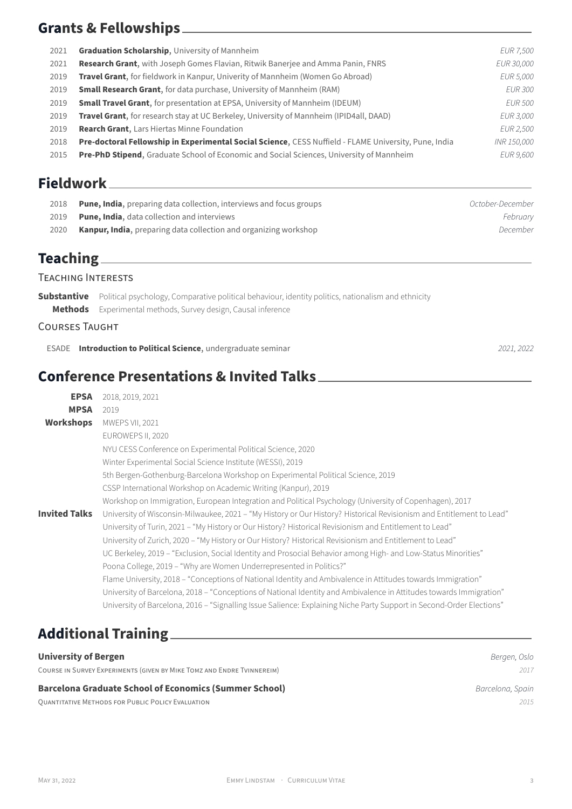### **Grants & Fellowships**

| 2021 | <b>Graduation Scholarship, University of Mannheim</b>                                                 | <b>EUR 7,500</b> |
|------|-------------------------------------------------------------------------------------------------------|------------------|
| 2021 | <b>Research Grant, with Joseph Gomes Flavian, Ritwik Banerjee and Amma Panin, FNRS</b>                | EUR 30,000       |
| 2019 | <b>Travel Grant</b> , for fieldwork in Kanpur, Univerity of Mannheim (Women Go Abroad)                | EUR 5,000        |
| 2019 | <b>Small Research Grant</b> , for data purchase, University of Mannheim (RAM)                         | <i>EUR 300</i>   |
| 2019 | <b>Small Travel Grant</b> , for presentation at EPSA, University of Mannheim (IDEUM)                  | <i>EUR 500</i>   |
| 2019 | Travel Grant, for research stay at UC Berkeley, University of Mannheim (IPID4all, DAAD)               | EUR 3,000        |
| 2019 | <b>Rearch Grant, Lars Hiertas Minne Foundation</b>                                                    | EUR 2,500        |
| 2018 | Pre-doctoral Fellowship in Experimental Social Science, CESS Nuffield - FLAME University, Pune, India | INR 150,000      |
| 2015 | <b>Pre-PhD Stipend, Graduate School of Economic and Social Sciences, University of Mannheim</b>       | EUR 9,600        |
|      |                                                                                                       |                  |

#### **Fieldwork**

| 2018 | <b>Pune, India</b> , preparing data collection, interviews and focus groups | October-December |
|------|-----------------------------------------------------------------------------|------------------|
| 2019 | <b>Pune, India</b> , data collection and interviews                         | Februarv         |
| 2020 | <b>Kanpur, India,</b> preparing data collection and organizing workshop     | December         |

## **Teaching**

#### TEACHiNG INTERESTS

**Substantive** Political psychology, Comparative political behaviour, identity politics, nationalism and ethnicity **Methods** Experimental methods, Survey design, Causal inference

#### COURSES TAUGHT

ESADE **Introduction to Political Science**, undergraduate seminar *2021, 2022*

## **Conference Presentations & Invited Talks**

| <b>EPSA</b>          | 2018, 2019, 2021                                                                                                      |
|----------------------|-----------------------------------------------------------------------------------------------------------------------|
| <b>MPSA</b>          | 2019                                                                                                                  |
| Workshops            | <b>MWEPS VII, 2021</b>                                                                                                |
|                      | EUROWEPS II, 2020                                                                                                     |
|                      | NYU CESS Conference on Experimental Political Science, 2020                                                           |
|                      | Winter Experimental Social Science Institute (WESSI), 2019                                                            |
|                      | 5th Bergen-Gothenburg-Barcelona Workshop on Experimental Political Science, 2019                                      |
|                      | CSSP International Workshop on Academic Writing (Kanpur), 2019                                                        |
|                      | Workshop on Immigration, European Integration and Political Psychology (University of Copenhagen), 2017               |
| <b>Invited Talks</b> | University of Wisconsin-Milwaukee, 2021 - "My History or Our History? Historical Revisionism and Entitlement to Lead" |
|                      | University of Turin, 2021 - "My History or Our History? Historical Revisionism and Entitlement to Lead"               |
|                      | "University of Zurich, 2020 – "My History or Our History? Historical Revisionism and Entitlement to Lead"             |
|                      | UC Berkeley, 2019 – "Exclusion, Social Identity and Prosocial Behavior among High- and Low-Status Minorities"         |
|                      | Poona College, 2019 - "Why are Women Underrepresented in Politics?"                                                   |
|                      | Flame University, 2018 – "Conceptions of National Identity and Ambivalence in Attitudes towards Immigration"          |
|                      | University of Barcelona, 2018 - "Conceptions of National Identity and Ambivalence in Attitudes towards Immigration"   |
|                      | University of Barcelona, 2016 - "Signalling Issue Salience: Explaining Niche Party Support in Second-Order Elections" |
|                      |                                                                                                                       |

# **Additional Training**

**University of Bergen** *Bergen, Oslo* COURSE iN SURVEY EXPERiMENTS (GiVEN BY MiKE TOMZ AND ENDRE TViNNEREiM) *2017* **Barcelona Graduate School of Economics (Summer School) Barcelona, Spain** *Barcelona, Spain* QUANTiTATiVE METHODS FOR PUBLiC POLiCY EVALUATiON *2015*